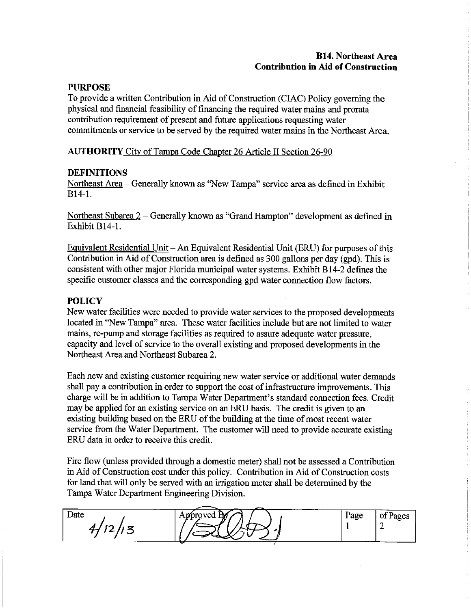## **B14. Northeast Area Contribution in Aid of Construction**

#### **PURPOSE**

To provide a written Contribution in Aid of Construction (CIAC) Policy governing the physical and financial feasibility of financing the required water mains and prorata contribution requirement of present and future applications requesting water commitments or service to be served by the required water mains in the Northeast Area.

**AUTHORITY** City of Tampa Code Chapter 26 Article II Section 26-90

## **DEFINITIONS**

Northeast Area - Generally known as "New Tampa" service area as defined in Exhibit  $B14-1.$ 

Northeast Subarea 2 – Generally known as "Grand Hampton" development as defined in Exhibit B14-1.

Equivalent Residential Unit – An Equivalent Residential Unit (ERU) for purposes of this Contribution in Aid of Construction area is defined as 300 gallons per day (gpd). This is consistent with other major Florida municipal water systems. Exhibit B14-2 defines the specific customer classes and the corresponding gpd water connection flow factors.

# **POLICY**

New water facilities were needed to provide water services to the proposed developments located in "New Tampa" area. These water facilities include but are not limited to water mains, re-pump and storage facilities as required to assure adequate water pressure, capacity and level of service to the overall existing and proposed developments in the Northeast Area and Northeast Subarea 2.

Each new and existing customer requiring new water service or additional water demands shall pay a contribution in order to support the cost of infrastructure improvements. This charge will be in addition to Tampa Water Department's standard connection fees. Credit may be applied for an existing service on an ERU basis. The credit is given to an existing building based on the ERU of the building at the time of most recent water service from the Water Department. The customer will need to provide accurate existing ERU data in order to receive this credit.

Fire flow (unless provided through a domestic meter) shall not be assessed a Contribution in Aid of Construction cost under this policy. Contribution in Aid of Construction costs for land that will only be served with an irrigation meter shall be determined by the Tampa Water Department Engineering Division.

|      | -----<br>------                                          |      |             |
|------|----------------------------------------------------------|------|-------------|
| Date | ЬW<br>vroved<br>$\mathbf{1}$ and $\mathbf{1}$<br>------- | Page | пос<br>4800 |
|      |                                                          |      |             |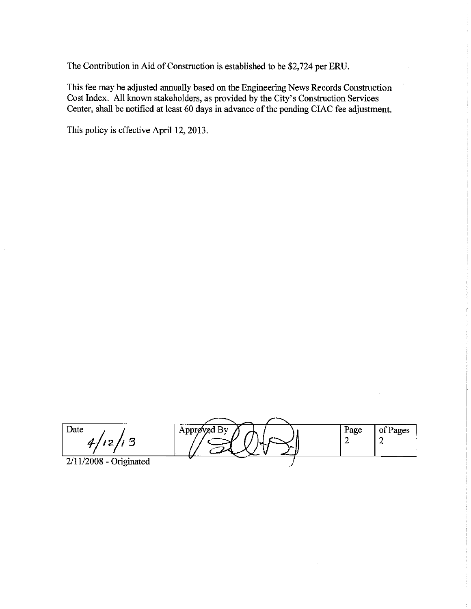The Contribution in Aid of Construction is established to be \$2,724 per ERU.

This fee may be adjusted annually based on the Engineering News Records Construction Cost Index. All known stakeholders, as provided by the City's Construction Services Center, shall be notified at least 60 days in advance of the pending CIAC fee adjustment.

This policy is effective April 12, 2013.

l,

| Date<br>450             | $\vdash$ Approved By , | ີ |  | Page | of Pages |
|-------------------------|------------------------|---|--|------|----------|
| 2/11/2008<br>Originated |                        |   |  |      |          |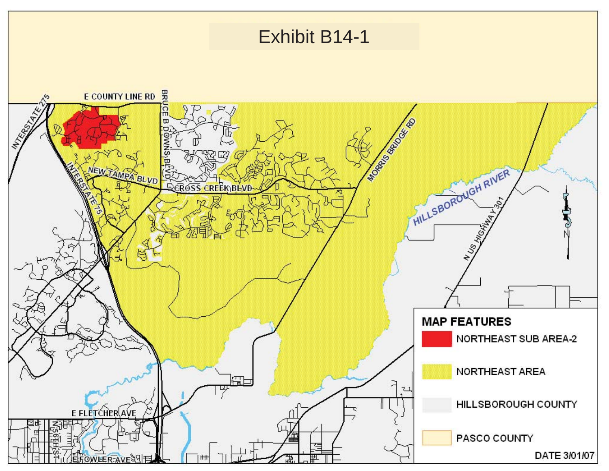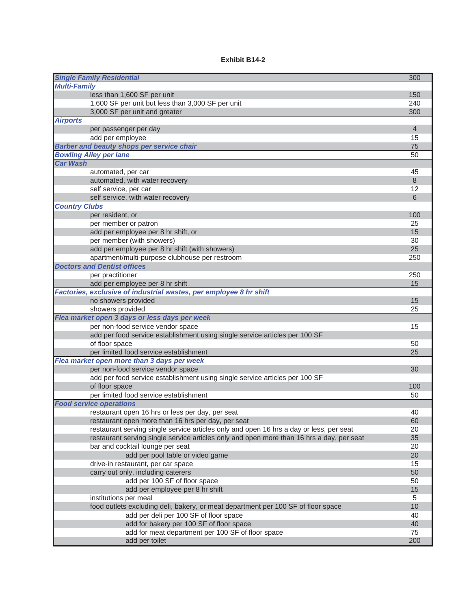#### **Exhibit B14-2**

| <b>Single Family Residential</b>                                                                                            | 300            |
|-----------------------------------------------------------------------------------------------------------------------------|----------------|
| <b>Multi-Family</b>                                                                                                         |                |
| less than 1,600 SF per unit                                                                                                 | 150            |
| 1,600 SF per unit but less than 3,000 SF per unit                                                                           | 240            |
| 3,000 SF per unit and greater                                                                                               | 300            |
| <b>Airports</b>                                                                                                             |                |
| per passenger per day                                                                                                       | $\overline{4}$ |
| add per employee                                                                                                            | 15             |
| <b>Barber and beauty shops per service chair</b>                                                                            | 75             |
| <b>Bowling Alley per lane</b>                                                                                               | 50             |
| <b>Car Wash</b>                                                                                                             |                |
| automated, per car                                                                                                          | 45             |
| automated, with water recovery                                                                                              | 8              |
| self service, per car                                                                                                       | 12             |
| self service, with water recovery                                                                                           | 6              |
| <b>Country Clubs</b>                                                                                                        |                |
| per resident, or                                                                                                            | 100            |
| per member or patron                                                                                                        | 25             |
| add per employee per 8 hr shift, or                                                                                         | 15             |
| per member (with showers)                                                                                                   | 30             |
| add per employee per 8 hr shift (with showers)                                                                              | 25             |
| apartment/multi-purpose clubhouse per restroom                                                                              | 250            |
| <b>Doctors and Dentist offices</b>                                                                                          |                |
| per practitioner                                                                                                            | 250            |
| add per employee per 8 hr shift                                                                                             | 15             |
| Factories, exclusive of industrial wastes, per employee 8 hr shift                                                          |                |
| no showers provided                                                                                                         | 15             |
| showers provided                                                                                                            | 25             |
| Flea market open 3 days or less days per week                                                                               |                |
| per non-food service vendor space                                                                                           | 15             |
| add per food service establishment using single service articles per 100 SF                                                 |                |
| of floor space                                                                                                              | 50             |
| per limited food service establishment                                                                                      | 25             |
| Flea market open more than 3 days per week                                                                                  |                |
| per non-food service vendor space                                                                                           | 30             |
| add per food service establishment using single service articles per 100 SF                                                 |                |
| of floor space                                                                                                              | 100            |
| per limited food service establishment                                                                                      | 50             |
| <b>Food service operations</b>                                                                                              |                |
| restaurant open 16 hrs or less per day, per seat                                                                            | 40             |
| restaurant open more than 16 hrs per day, per seat                                                                          | 60             |
| restaurant serving single service articles only and open 16 hrs a day or less, per seat                                     | 20             |
| restaurant serving single service articles only and open more than 16 hrs a day, per seat                                   | 35             |
| bar and cocktail lounge per seat                                                                                            | 20             |
| add per pool table or video game                                                                                            | 20             |
| drive-in restaurant, per car space                                                                                          | 15             |
| carry out only, including caterers                                                                                          | 50             |
| add per 100 SF of floor space                                                                                               | 50             |
| add per employee per 8 hr shift                                                                                             | 15             |
| institutions per meal                                                                                                       | 5<br>10        |
| food outlets excluding deli, bakery, or meat department per 100 SF of floor space<br>add per deli per 100 SF of floor space | 40             |
|                                                                                                                             |                |
| add for bakery per 100 SF of floor space                                                                                    | 40             |
| add for meat department per 100 SF of floor space<br>add per toilet                                                         | 75<br>200      |
|                                                                                                                             |                |